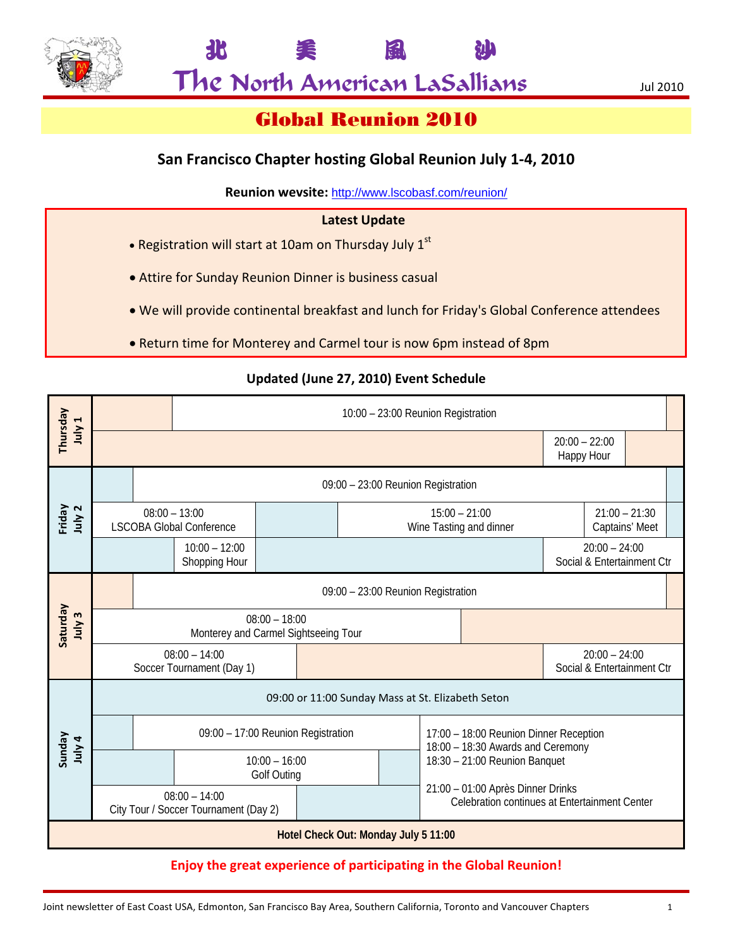

北 美 風 沙

# Global Reunion 2010

# **San Francisco Chapter hosting Global Reunion July 1‐4, 2010**

**Reunion wevsite:** http://www.lscobasf.com/reunion/

# **Latest Update**

- Registration will start at 10am on Thursday July 1<sup>st</sup>
- Attire for Sunday Reunion Dinner is business casual
- We will provide continental breakfast and lunch for Friday's Global Conference attendees
- Return time for Monterey and Carmel tour is now 6pm instead of 8pm

|                                      |                                                          | 10:00 - 23:00 Reunion Registration                      |  |  |  |  |  |                                                                                    |                                               |                                               |                                   |  |  |
|--------------------------------------|----------------------------------------------------------|---------------------------------------------------------|--|--|--|--|--|------------------------------------------------------------------------------------|-----------------------------------------------|-----------------------------------------------|-----------------------------------|--|--|
| Thursday<br>July 1                   |                                                          |                                                         |  |  |  |  |  |                                                                                    |                                               | $20:00 - 22:00$<br>Happy Hour                 |                                   |  |  |
| Friday<br>July 2                     |                                                          | 09:00 - 23:00 Reunion Registration                      |  |  |  |  |  |                                                                                    |                                               |                                               |                                   |  |  |
|                                      |                                                          | $08:00 - 13:00$<br><b>LSCOBA Global Conference</b>      |  |  |  |  |  | $15:00 - 21:00$<br>Wine Tasting and dinner                                         |                                               |                                               | $21:00 - 21:30$<br>Captains' Meet |  |  |
|                                      |                                                          | $10:00 - 12:00$<br>Shopping Hour                        |  |  |  |  |  |                                                                                    | $20:00 - 24:00$<br>Social & Entertainment Ctr |                                               |                                   |  |  |
| Saturday<br>July 3                   |                                                          | 09:00 - 23:00 Reunion Registration                      |  |  |  |  |  |                                                                                    |                                               |                                               |                                   |  |  |
|                                      |                                                          | $08:00 - 18:00$<br>Monterey and Carmel Sightseeing Tour |  |  |  |  |  |                                                                                    |                                               |                                               |                                   |  |  |
|                                      | $08:00 - 14:00$<br>Soccer Tournament (Day 1)             |                                                         |  |  |  |  |  |                                                                                    |                                               | $20:00 - 24:00$<br>Social & Entertainment Ctr |                                   |  |  |
| <b>P</b> Alnr<br>NopunS              | 09:00 or 11:00 Sunday Mass at St. Elizabeth Seton        |                                                         |  |  |  |  |  |                                                                                    |                                               |                                               |                                   |  |  |
|                                      |                                                          | 09:00 - 17:00 Reunion Registration                      |  |  |  |  |  | 17:00 - 18:00 Reunion Dinner Reception<br>18:00 - 18:30 Awards and Ceremony        |                                               |                                               |                                   |  |  |
|                                      |                                                          | $10:00 - 16:00$<br><b>Golf Outing</b>                   |  |  |  |  |  | 18:30 - 21:00 Reunion Banquet                                                      |                                               |                                               |                                   |  |  |
|                                      | $08:00 - 14:00$<br>City Tour / Soccer Tournament (Day 2) |                                                         |  |  |  |  |  | 21:00 - 01:00 Après Dinner Drinks<br>Celebration continues at Entertainment Center |                                               |                                               |                                   |  |  |
| Hotel Check Out: Monday July 5 11:00 |                                                          |                                                         |  |  |  |  |  |                                                                                    |                                               |                                               |                                   |  |  |
|                                      |                                                          |                                                         |  |  |  |  |  |                                                                                    |                                               |                                               |                                   |  |  |

# **Updated (June 27, 2010) Event Schedule**

**Enjoy the great experience of participating in the Global Reunion!**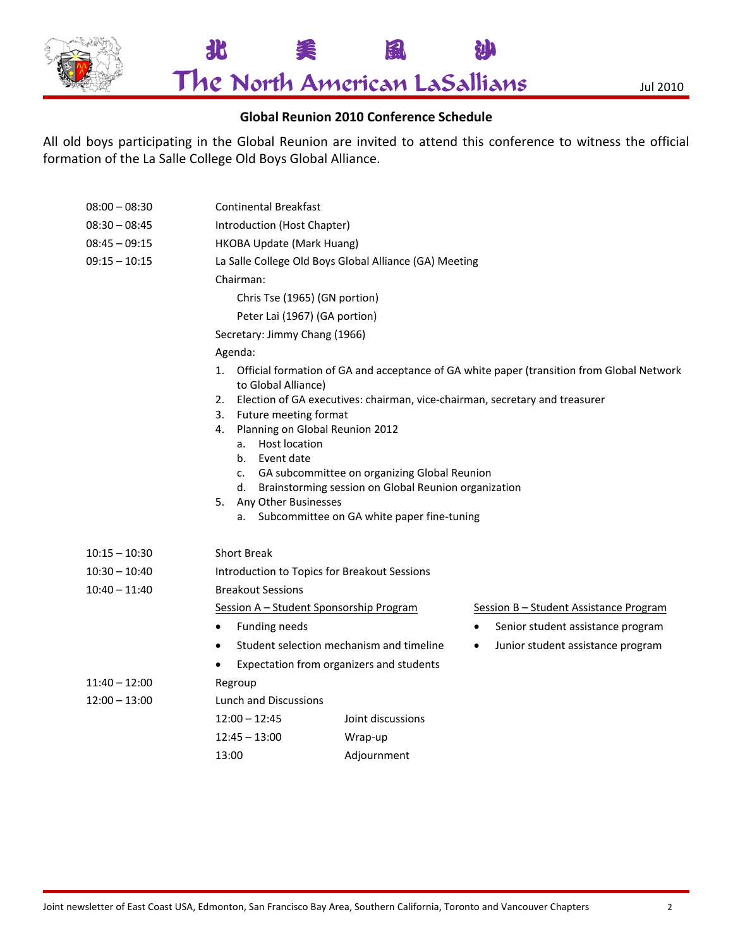

08:00 – 08:30 Continental Breakfast

The North American LaSallians Jul 2010

北 美 風 沙

# **Global Reunion 2010 Conference Schedule**

All old boys participating in the Global Reunion are invited to attend this conference to witness the official formation of the La Salle College Old Boys Global Alliance.

| $08:30 - 08:45$ | Introduction (Host Chapter)                                                                                            |                                          |           |                                        |  |  |  |
|-----------------|------------------------------------------------------------------------------------------------------------------------|------------------------------------------|-----------|----------------------------------------|--|--|--|
| $08:45 - 09:15$ | HKOBA Update (Mark Huang)                                                                                              |                                          |           |                                        |  |  |  |
| $09:15 - 10:15$ | La Salle College Old Boys Global Alliance (GA) Meeting                                                                 |                                          |           |                                        |  |  |  |
|                 | Chairman:                                                                                                              |                                          |           |                                        |  |  |  |
|                 | Chris Tse (1965) (GN portion)                                                                                          |                                          |           |                                        |  |  |  |
|                 | Peter Lai (1967) (GA portion)                                                                                          |                                          |           |                                        |  |  |  |
|                 | Secretary: Jimmy Chang (1966)                                                                                          |                                          |           |                                        |  |  |  |
|                 | Agenda:                                                                                                                |                                          |           |                                        |  |  |  |
|                 | Official formation of GA and acceptance of GA white paper (transition from Global Network<br>1.<br>to Global Alliance) |                                          |           |                                        |  |  |  |
|                 | Election of GA executives: chairman, vice-chairman, secretary and treasurer<br>2.                                      |                                          |           |                                        |  |  |  |
|                 | Future meeting format<br>3.<br>Planning on Global Reunion 2012<br>4.                                                   |                                          |           |                                        |  |  |  |
|                 | a. Host location                                                                                                       |                                          |           |                                        |  |  |  |
|                 | Event date<br>b.                                                                                                       |                                          |           |                                        |  |  |  |
|                 | GA subcommittee on organizing Global Reunion<br>C.                                                                     |                                          |           |                                        |  |  |  |
|                 | d. Brainstorming session on Global Reunion organization                                                                |                                          |           |                                        |  |  |  |
|                 | 5. Any Other Businesses<br>a. Subcommittee on GA white paper fine-tuning                                               |                                          |           |                                        |  |  |  |
|                 |                                                                                                                        |                                          |           |                                        |  |  |  |
| $10:15 - 10:30$ | <b>Short Break</b>                                                                                                     |                                          |           |                                        |  |  |  |
| $10:30 - 10:40$ | Introduction to Topics for Breakout Sessions                                                                           |                                          |           |                                        |  |  |  |
| $10:40 - 11:40$ | <b>Breakout Sessions</b>                                                                                               |                                          |           |                                        |  |  |  |
|                 | Session A - Student Sponsorship Program                                                                                |                                          |           | Session B - Student Assistance Program |  |  |  |
|                 | Funding needs<br>$\bullet$                                                                                             |                                          | $\bullet$ | Senior student assistance program      |  |  |  |
|                 | $\bullet$                                                                                                              | Student selection mechanism and timeline | $\bullet$ | Junior student assistance program      |  |  |  |
|                 | Expectation from organizers and students                                                                               |                                          |           |                                        |  |  |  |
| $11:40 - 12:00$ | Regroup                                                                                                                |                                          |           |                                        |  |  |  |
| $12:00 - 13:00$ | Lunch and Discussions                                                                                                  |                                          |           |                                        |  |  |  |
|                 | $12:00 - 12:45$                                                                                                        | Joint discussions                        |           |                                        |  |  |  |
|                 | $12:45 - 13:00$                                                                                                        | Wrap-up                                  |           |                                        |  |  |  |
|                 | 13:00                                                                                                                  | Adjournment                              |           |                                        |  |  |  |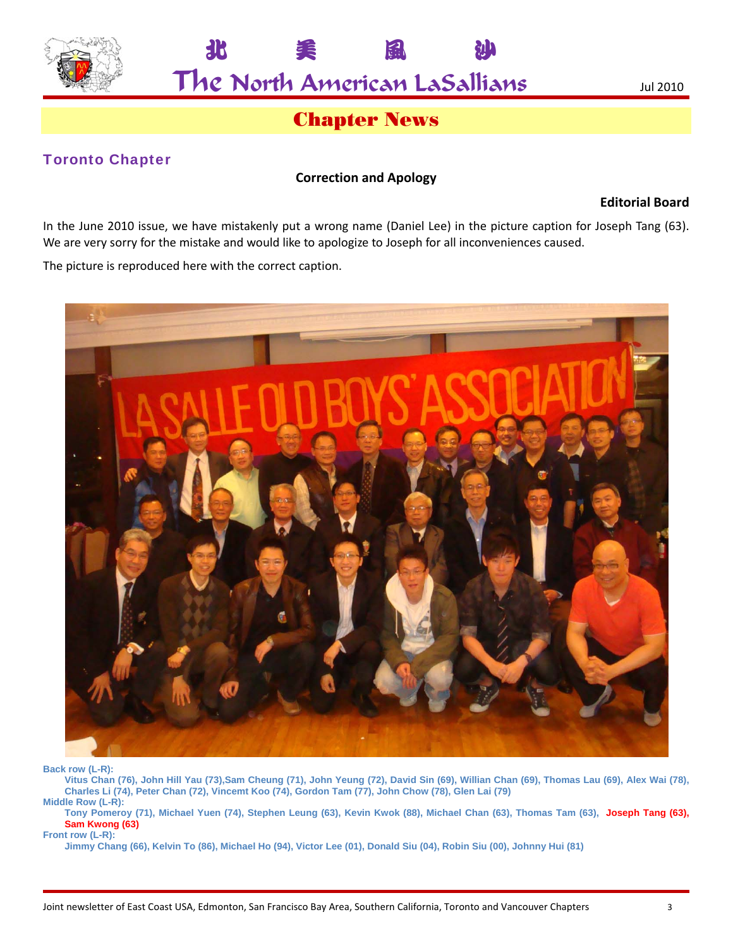

北 美 風 沙

# Chapter News

# Toronto Chapter

## **Correction and Apology**

**Editorial Board**

In the June 2010 issue, we have mistakenly put a wrong name (Daniel Lee) in the picture caption for Joseph Tang (63). We are very sorry for the mistake and would like to apologize to Joseph for all inconveniences caused.

The picture is reproduced here with the correct caption.



**Back row (L-R):** 

**Vitus Chan (76), John Hill Yau (73),Sam Cheung (71), John Yeung (72), David Sin (69), Willian Chan (69), Thomas Lau (69), Alex Wai (78), Charles Li (74), Peter Chan (72), Vincemt Koo (74), Gordon Tam (77), John Chow (78), Glen Lai (79) Middle Row (L-R):** 

**Tony Pomeroy (71), Michael Yuen (74), Stephen Leung (63), Kevin Kwok (88), Michael Chan (63), Thomas Tam (63), Joseph Tang (63), Sam Kwong (63) Front row (L-R):** 

**Jimmy Chang (66), Kelvin To (86), Michael Ho (94), Victor Lee (01), Donald Siu (04), Robin Siu (00), Johnny Hui (81)**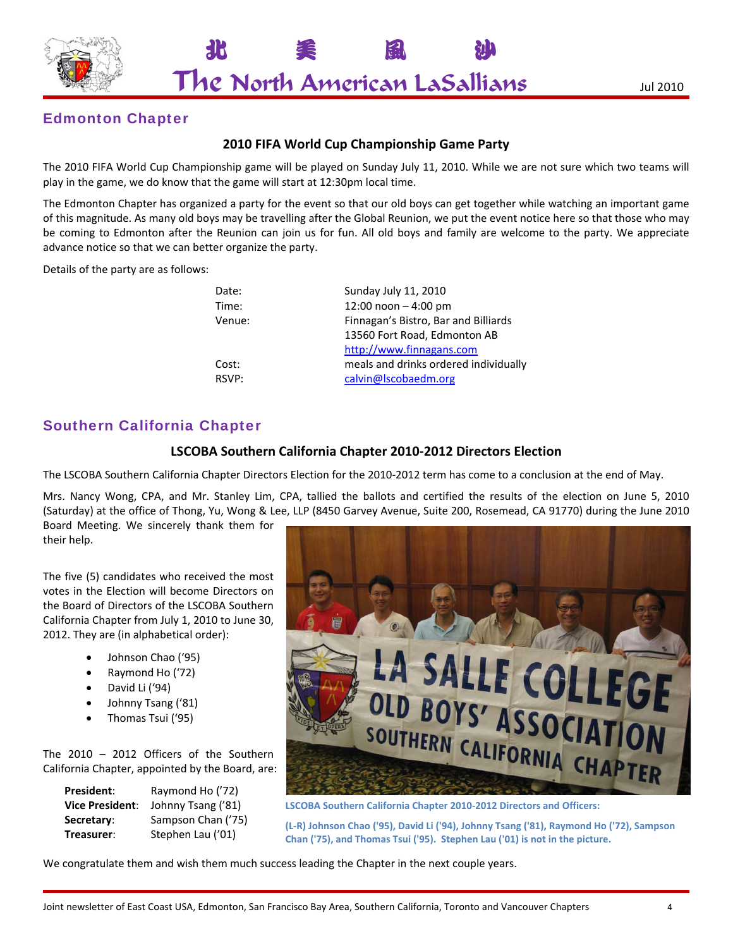

北 美 風 沙

# Edmonton Chapter

## **2010 FIFA World Cup Championship Game Party**

The 2010 FIFA World Cup Championship game will be played on Sunday July 11, 2010. While we are not sure which two teams will play in the game, we do know that the game will start at 12:30pm local time.

The Edmonton Chapter has organized a party for the event so that our old boys can get together while watching an important game of this magnitude. As many old boys may be travelling after the Global Reunion, we put the event notice here so that those who may be coming to Edmonton after the Reunion can join us for fun. All old boys and family are welcome to the party. We appreciate advance notice so that we can better organize the party.

Details of the party are as follows:

| Date:  | Sunday July 11, 2010                  |
|--------|---------------------------------------|
| Time:  | 12:00 noon $-4:00$ pm                 |
| Venue: | Finnagan's Bistro, Bar and Billiards  |
|        | 13560 Fort Road, Edmonton AB          |
|        | http://www.finnagans.com              |
| Cost:  | meals and drinks ordered individually |
| RSVP:  | calvin@lscobaedm.org                  |
|        |                                       |

# Southern California Chapter

### **LSCOBA Southern California Chapter 2010‐2012 Directors Election**

The LSCOBA Southern California Chapter Directors Election for the 2010‐2012 term has come to a conclusion at the end of May.

Mrs. Nancy Wong, CPA, and Mr. Stanley Lim, CPA, tallied the ballots and certified the results of the election on June 5, 2010 (Saturday) at the office of Thong, Yu, Wong & Lee, LLP (8450 Garvey Avenue, Suite 200, Rosemead, CA 91770) during the June 2010 Board Meeting. We sincerely thank them for

their help.

The five (5) candidates who received the most votes in the Election will become Directors on the Board of Directors of the LSCOBA Southern California Chapter from July 1, 2010 to June 30, 2012. They are (in alphabetical order):

- Johnson Chao ('95)
- Raymond Ho ('72)
- David Li ('94)
- Johnny Tsang ('81)
- Thomas Tsui ('95)

The 2010 – 2012 Officers of the Southern California Chapter, appointed by the Board, are:

| Raymond Ho ('72)   |
|--------------------|
| Johnny Tsang ('81) |
| Sampson Chan ('75) |
| Stephen Lau ('01)  |
|                    |



**LSCOBA Southern California Chapter 2010‐2012 Directors and Officers:** 

**(L‐R) Johnson Chao ('95), David Li ('94), Johnny Tsang ('81), Raymond Ho ('72), Sampson Chan ('75), and Thomas Tsui ('95). Stephen Lau ('01) is not in the picture.**

We congratulate them and wish them much success leading the Chapter in the next couple years.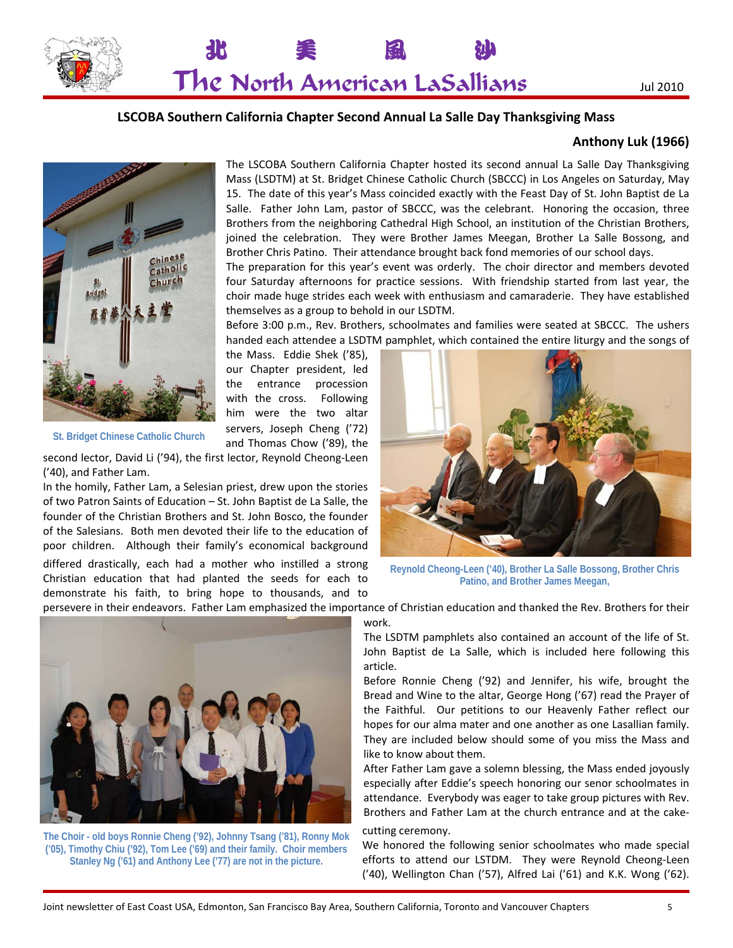



### **LSCOBA Southern California Chapter Second Annual La Salle Day Thanksgiving Mass**

### **Anthony Luk (1966)**



The LSCOBA Southern California Chapter hosted its second annual La Salle Day Thanksgiving Mass (LSDTM) at St. Bridget Chinese Catholic Church (SBCCC) in Los Angeles on Saturday, May 15. The date of this year's Mass coincided exactly with the Feast Day of St. John Baptist de La Salle. Father John Lam, pastor of SBCCC, was the celebrant. Honoring the occasion, three Brothers from the neighboring Cathedral High School, an institution of the Christian Brothers, joined the celebration. They were Brother James Meegan, Brother La Salle Bossong, and Brother Chris Patino. Their attendance brought back fond memories of our school days.

The preparation for this year's event was orderly. The choir director and members devoted four Saturday afternoons for practice sessions. With friendship started from last year, the choir made huge strides each week with enthusiasm and camaraderie. They have established themselves as a group to behold in our LSDTM.

Before 3:00 p.m., Rev. Brothers, schoolmates and families were seated at SBCCC. The ushers handed each attendee a LSDTM pamphlet, which contained the entire liturgy and the songs of

the Mass. Eddie Shek ('85), our Chapter president, led the entrance procession with the cross. Following him were the two altar servers, Joseph Cheng ('72) and Thomas Chow ('89), the

**St. Bridget Chinese Catholic Church**

second lector, David Li ('94), the first lector, Reynold Cheong‐Leen ('40), and Father Lam.

In the homily, Father Lam, a Selesian priest, drew upon the stories of two Patron Saints of Education – St. John Baptist de La Salle, the founder of the Christian Brothers and St. John Bosco, the founder of the Salesians. Both men devoted their life to the education of poor children. Although their family's economical background

differed drastically, each had a mother who instilled a strong Christian education that had planted the seeds for each to demonstrate his faith, to bring hope to thousands, and to



**Reynold Cheong-Leen ('40), Brother La Salle Bossong, Brother Chris Patino, and Brother James Meegan,** 

persevere in their endeavors. Father Lam emphasized the importance of Christian education and thanked the Rev. Brothers for their

work.



**The Choir - old boys Ronnie Cheng ('92), Johnny Tsang ('81), Ronny Mok ('05), Timothy Chiu ('92), Tom Lee ('69) and their family. Choir members Stanley Ng ('61) and Anthony Lee ('77) are not in the picture.** 

The LSDTM pamphlets also contained an account of the life of St. John Baptist de La Salle, which is included here following this article.

Before Ronnie Cheng ('92) and Jennifer, his wife, brought the Bread and Wine to the altar, George Hong ('67) read the Prayer of the Faithful. Our petitions to our Heavenly Father reflect our hopes for our alma mater and one another as one Lasallian family. They are included below should some of you miss the Mass and like to know about them.

After Father Lam gave a solemn blessing, the Mass ended joyously especially after Eddie's speech honoring our senor schoolmates in attendance. Everybody was eager to take group pictures with Rev. Brothers and Father Lam at the church entrance and at the cake‐

#### cutting ceremony.

We honored the following senior schoolmates who made special efforts to attend our LSTDM. They were Reynold Cheong-Leen ('40), Wellington Chan ('57), Alfred Lai ('61) and K.K. Wong ('62).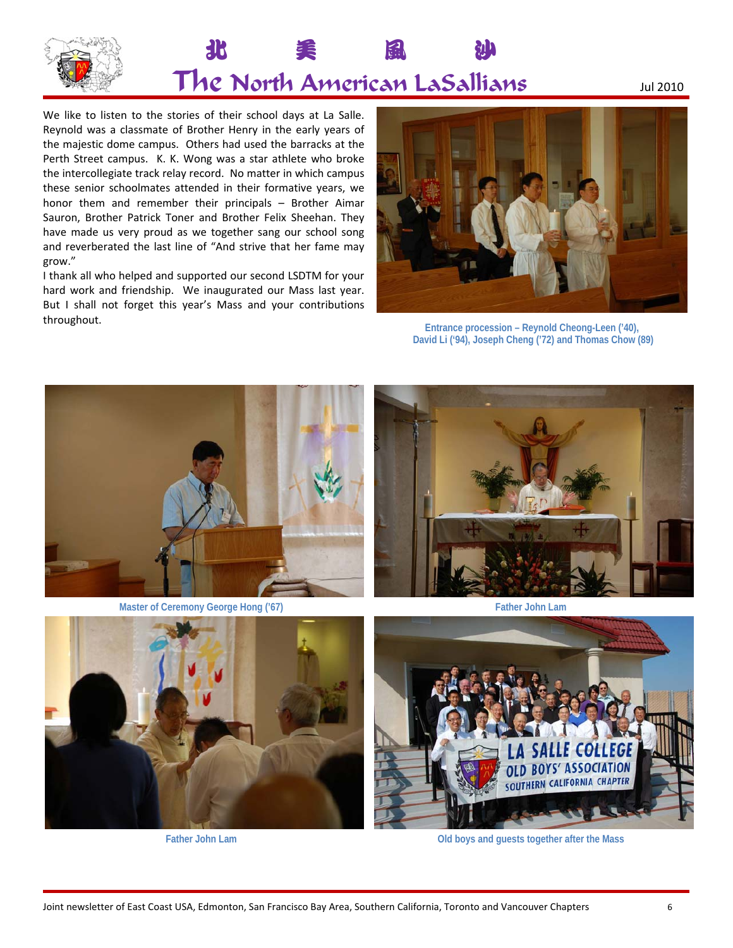

# 北 美 風 沙 The North American LaSallians Jul <sup>2010</sup>

We like to listen to the stories of their school days at La Salle. Reynold was a classmate of Brother Henry in the early years of the majestic dome campus. Others had used the barracks at the Perth Street campus. K. K. Wong was a star athlete who broke the intercollegiate track relay record. No matter in which campus these senior schoolmates attended in their formative years, we honor them and remember their principals – Brother Aimar Sauron, Brother Patrick Toner and Brother Felix Sheehan. They have made us very proud as we together sang our school song and reverberated the last line of "And strive that her fame may grow."

I thank all who helped and supported our second LSDTM for your hard work and friendship. We inaugurated our Mass last year. But I shall not forget this year's Mass and your contributions throughout.



**Entrance procession – Reynold Cheong-Leen ('40), David Li ('94), Joseph Cheng ('72) and Thomas Chow (89)**



**Master of Ceremony George Hong ('67) Father John Lam** 





**Father John Lam Old boys and guests together after the Mass**

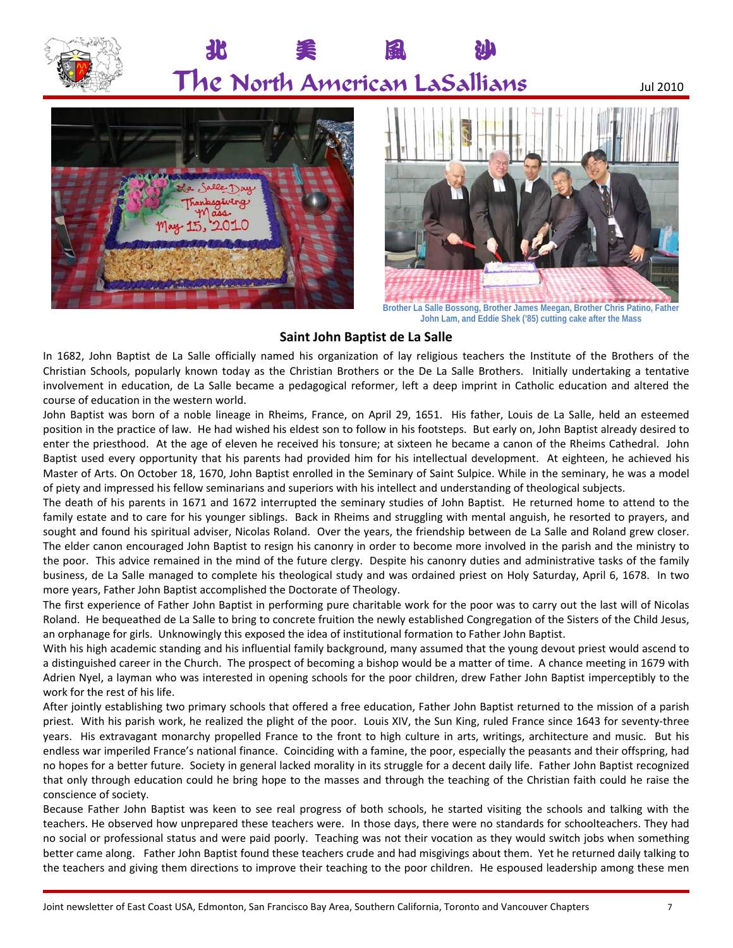

北 美 風 沙





**John Lam, and Eddie Shek ('85) cutting cake after the Mass**

## **Saint John Baptist de La Salle**

In 1682, John Baptist de La Salle officially named his organization of lay religious teachers the Institute of the Brothers of the Christian Schools, popularly known today as the Christian Brothers or the De La Salle Brothers. Initially undertaking a tentative involvement in education, de La Salle became a pedagogical reformer, left a deep imprint in Catholic education and altered the course of education in the western world.

John Baptist was born of a noble lineage in Rheims, France, on April 29, 1651. His father, Louis de La Salle, held an esteemed position in the practice of law. He had wished his eldest son to follow in his footsteps. But early on, John Baptist already desired to enter the priesthood. At the age of eleven he received his tonsure; at sixteen he became a canon of the Rheims Cathedral. John Baptist used every opportunity that his parents had provided him for his intellectual development. At eighteen, he achieved his Master of Arts. On October 18, 1670, John Baptist enrolled in the Seminary of Saint Sulpice. While in the seminary, he was a model of piety and impressed his fellow seminarians and superiors with his intellect and understanding of theological subjects.

The death of his parents in 1671 and 1672 interrupted the seminary studies of John Baptist. He returned home to attend to the family estate and to care for his younger siblings. Back in Rheims and struggling with mental anguish, he resorted to prayers, and sought and found his spiritual adviser, Nicolas Roland. Over the years, the friendship between de La Salle and Roland grew closer. The elder canon encouraged John Baptist to resign his canonry in order to become more involved in the parish and the ministry to the poor. This advice remained in the mind of the future clergy. Despite his canonry duties and administrative tasks of the family business, de La Salle managed to complete his theological study and was ordained priest on Holy Saturday, April 6, 1678. In two more years, Father John Baptist accomplished the Doctorate of Theology.

The first experience of Father John Baptist in performing pure charitable work for the poor was to carry out the last will of Nicolas Roland. He bequeathed de La Salle to bring to concrete fruition the newly established Congregation of the Sisters of the Child Jesus, an orphanage for girls. Unknowingly this exposed the idea of institutional formation to Father John Baptist.

With his high academic standing and his influential family background, many assumed that the young devout priest would ascend to a distinguished career in the Church. The prospect of becoming a bishop would be a matter of time. A chance meeting in 1679 with Adrien Nyel, a layman who was interested in opening schools for the poor children, drew Father John Baptist imperceptibly to the work for the rest of his life.

After jointly establishing two primary schools that offered a free education, Father John Baptist returned to the mission of a parish priest. With his parish work, he realized the plight of the poor. Louis XIV, the Sun King, ruled France since 1643 for seventy-three years. His extravagant monarchy propelled France to the front to high culture in arts, writings, architecture and music. But his endless war imperiled France's national finance. Coinciding with a famine, the poor, especially the peasants and their offspring, had no hopes for a better future. Society in general lacked morality in its struggle for a decent daily life. Father John Baptist recognized that only through education could he bring hope to the masses and through the teaching of the Christian faith could he raise the conscience of society.

Because Father John Baptist was keen to see real progress of both schools, he started visiting the schools and talking with the teachers. He observed how unprepared these teachers were. In those days, there were no standards for schoolteachers. They had no social or professional status and were paid poorly. Teaching was not their vocation as they would switch jobs when something better came along. Father John Baptist found these teachers crude and had misgivings about them. Yet he returned daily talking to the teachers and giving them directions to improve their teaching to the poor children. He espoused leadership among these men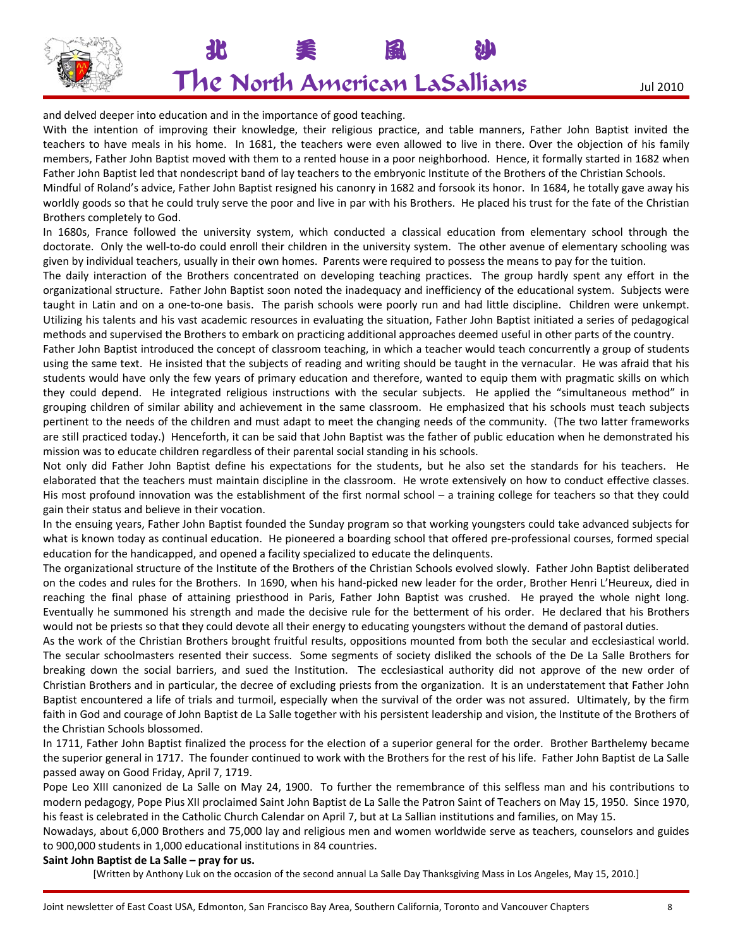

# 北 美 風 沙 The North American LaSallians Jul <sup>2010</sup>

and delved deeper into education and in the importance of good teaching.

With the intention of improving their knowledge, their religious practice, and table manners, Father John Baptist invited the teachers to have meals in his home. In 1681, the teachers were even allowed to live in there. Over the objection of his family members, Father John Baptist moved with them to a rented house in a poor neighborhood. Hence, it formally started in 1682 when Father John Baptist led that nondescript band of lay teachers to the embryonic Institute of the Brothers of the Christian Schools.

Mindful of Roland's advice, Father John Baptist resigned his canonry in 1682 and forsook its honor. In 1684, he totally gave away his worldly goods so that he could truly serve the poor and live in par with his Brothers. He placed his trust for the fate of the Christian Brothers completely to God.

In 1680s, France followed the university system, which conducted a classical education from elementary school through the doctorate. Only the well-to-do could enroll their children in the university system. The other avenue of elementary schooling was given by individual teachers, usually in their own homes. Parents were required to possess the means to pay for the tuition.

The daily interaction of the Brothers concentrated on developing teaching practices. The group hardly spent any effort in the organizational structure. Father John Baptist soon noted the inadequacy and inefficiency of the educational system. Subjects were taught in Latin and on a one‐to‐one basis. The parish schools were poorly run and had little discipline. Children were unkempt. Utilizing his talents and his vast academic resources in evaluating the situation, Father John Baptist initiated a series of pedagogical methods and supervised the Brothers to embark on practicing additional approaches deemed useful in other parts of the country.

Father John Baptist introduced the concept of classroom teaching, in which a teacher would teach concurrently a group of students using the same text. He insisted that the subjects of reading and writing should be taught in the vernacular. He was afraid that his students would have only the few years of primary education and therefore, wanted to equip them with pragmatic skills on which they could depend. He integrated religious instructions with the secular subjects. He applied the "simultaneous method" in grouping children of similar ability and achievement in the same classroom. He emphasized that his schools must teach subjects pertinent to the needs of the children and must adapt to meet the changing needs of the community. (The two latter frameworks are still practiced today.) Henceforth, it can be said that John Baptist was the father of public education when he demonstrated his mission was to educate children regardless of their parental social standing in his schools.

Not only did Father John Baptist define his expectations for the students, but he also set the standards for his teachers. He elaborated that the teachers must maintain discipline in the classroom. He wrote extensively on how to conduct effective classes. His most profound innovation was the establishment of the first normal school – a training college for teachers so that they could gain their status and believe in their vocation.

In the ensuing years, Father John Baptist founded the Sunday program so that working youngsters could take advanced subjects for what is known today as continual education. He pioneered a boarding school that offered pre‐professional courses, formed special education for the handicapped, and opened a facility specialized to educate the delinquents.

The organizational structure of the Institute of the Brothers of the Christian Schools evolved slowly. Father John Baptist deliberated on the codes and rules for the Brothers. In 1690, when his hand‐picked new leader for the order, Brother Henri L'Heureux, died in reaching the final phase of attaining priesthood in Paris, Father John Baptist was crushed. He prayed the whole night long. Eventually he summoned his strength and made the decisive rule for the betterment of his order. He declared that his Brothers would not be priests so that they could devote all their energy to educating youngsters without the demand of pastoral duties.

As the work of the Christian Brothers brought fruitful results, oppositions mounted from both the secular and ecclesiastical world. The secular schoolmasters resented their success. Some segments of society disliked the schools of the De La Salle Brothers for breaking down the social barriers, and sued the Institution. The ecclesiastical authority did not approve of the new order of Christian Brothers and in particular, the decree of excluding priests from the organization. It is an understatement that Father John Baptist encountered a life of trials and turmoil, especially when the survival of the order was not assured. Ultimately, by the firm faith in God and courage of John Baptist de La Salle together with his persistent leadership and vision, the Institute of the Brothers of the Christian Schools blossomed.

In 1711, Father John Baptist finalized the process for the election of a superior general for the order. Brother Barthelemy became the superior general in 1717. The founder continued to work with the Brothers for the rest of his life. Father John Baptist de La Salle passed away on Good Friday, April 7, 1719.

Pope Leo XIII canonized de La Salle on May 24, 1900. To further the remembrance of this selfless man and his contributions to modern pedagogy, Pope Pius XII proclaimed Saint John Baptist de La Salle the Patron Saint of Teachers on May 15, 1950. Since 1970, his feast is celebrated in the Catholic Church Calendar on April 7, but at La Sallian institutions and families, on May 15.

Nowadays, about 6,000 Brothers and 75,000 lay and religious men and women worldwide serve as teachers, counselors and guides to 900,000 students in 1,000 educational institutions in 84 countries.

#### **Saint John Baptist de La Salle – pray for us.**

[Written by Anthony Luk on the occasion of the second annual La Salle Day Thanksgiving Mass in Los Angeles, May 15, 2010.]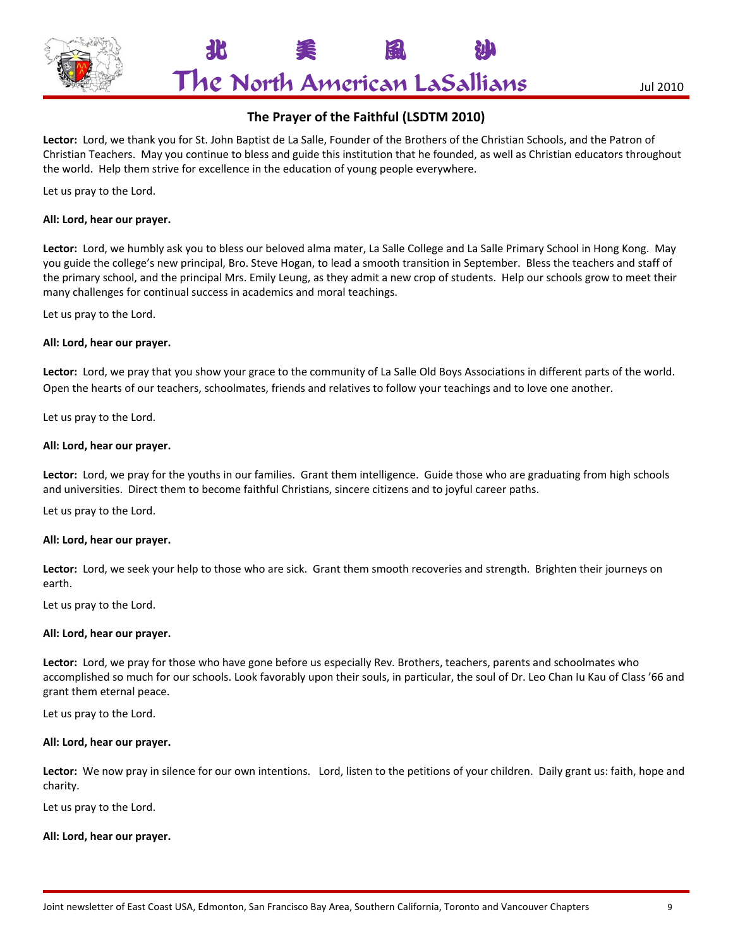

北 美 風 沙

## **The Prayer of the Faithful (LSDTM 2010)**

**Lector:** Lord, we thank you for St. John Baptist de La Salle, Founder of the Brothers of the Christian Schools, and the Patron of Christian Teachers. May you continue to bless and guide this institution that he founded, as well as Christian educators throughout the world. Help them strive for excellence in the education of young people everywhere.

Let us pray to the Lord.

#### **All: Lord, hear our prayer.**

**Lector:** Lord, we humbly ask you to bless our beloved alma mater, La Salle College and La Salle Primary School in Hong Kong. May you guide the college's new principal, Bro. Steve Hogan, to lead a smooth transition in September. Bless the teachers and staff of the primary school, and the principal Mrs. Emily Leung, as they admit a new crop of students. Help our schools grow to meet their many challenges for continual success in academics and moral teachings.

Let us pray to the Lord.

#### **All: Lord, hear our prayer.**

**Lector:** Lord, we pray that you show your grace to the community of La Salle Old Boys Associations in different parts of the world. Open the hearts of our teachers, schoolmates, friends and relatives to follow your teachings and to love one another.

Let us pray to the Lord.

#### **All: Lord, hear our prayer.**

**Lector:** Lord, we pray for the youths in our families. Grant them intelligence. Guide those who are graduating from high schools and universities. Direct them to become faithful Christians, sincere citizens and to joyful career paths.

Let us pray to the Lord.

#### **All: Lord, hear our prayer.**

**Lector:** Lord, we seek your help to those who are sick. Grant them smooth recoveries and strength. Brighten their journeys on earth.

Let us pray to the Lord.

#### **All: Lord, hear our prayer.**

**Lector:** Lord, we pray for those who have gone before us especially Rev. Brothers, teachers, parents and schoolmates who accomplished so much for our schools. Look favorably upon their souls, in particular, the soul of Dr. Leo Chan Iu Kau of Class '66 and grant them eternal peace.

Let us pray to the Lord.

#### **All: Lord, hear our prayer.**

Lector: We now pray in silence for our own intentions. Lord, listen to the petitions of your children. Daily grant us: faith, hope and charity.

Let us pray to the Lord.

#### **All: Lord, hear our prayer.**